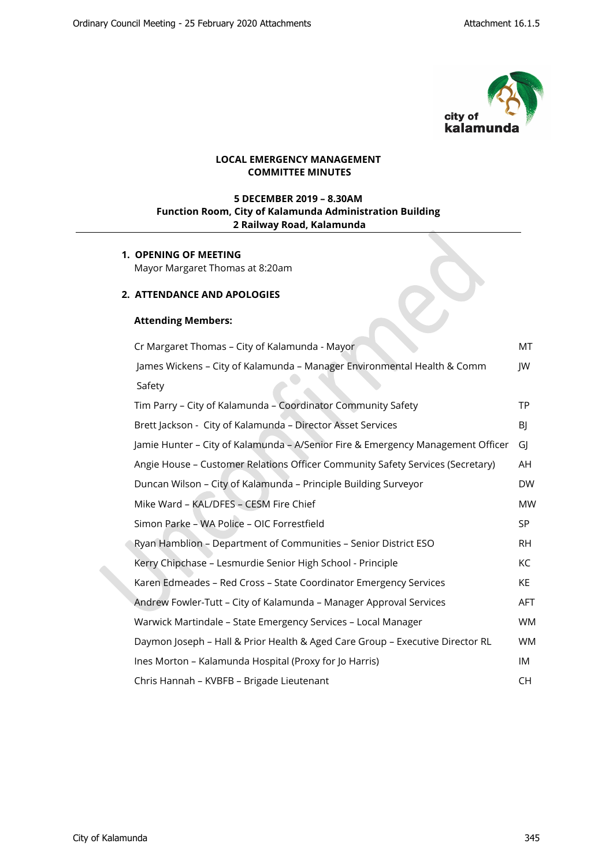

 $\mathcal{S}$ 

# **LOCAL EMERGENCY MANAGEMENT COMMITTEE MINUTES**

# **5 DECEMBER 2019 – 8.30AM Function Room, City of Kalamunda Administration Building 2 Railway Road, Kalamunda**

# **1. OPENING OF MEETING** Mayor Margaret Thomas at 8:20am

### **2. ATTENDANCE AND APOLOGIES**

### **Attending Members:**

| Cr Margaret Thomas - City of Kalamunda - Mayor                                  | МT         |
|---------------------------------------------------------------------------------|------------|
| James Wickens - City of Kalamunda - Manager Environmental Health & Comm         | JW         |
| Safety                                                                          |            |
| Tim Parry - City of Kalamunda - Coordinator Community Safety                    | <b>TP</b>  |
| Brett Jackson - City of Kalamunda - Director Asset Services                     | BJ         |
| Jamie Hunter - City of Kalamunda - A/Senior Fire & Emergency Management Officer | GI         |
| Angie House - Customer Relations Officer Community Safety Services (Secretary)  | AH         |
| Duncan Wilson - City of Kalamunda - Principle Building Surveyor                 | <b>DW</b>  |
| Mike Ward - KAL/DFES - CESM Fire Chief                                          | <b>MW</b>  |
| Simon Parke - WA Police - OIC Forrestfield                                      | SP.        |
| Ryan Hamblion - Department of Communities - Senior District ESO                 | <b>RH</b>  |
| Kerry Chipchase - Lesmurdie Senior High School - Principle                      | KC         |
| Karen Edmeades - Red Cross - State Coordinator Emergency Services               | KE.        |
| Andrew Fowler-Tutt - City of Kalamunda - Manager Approval Services              | <b>AFT</b> |
| Warwick Martindale - State Emergency Services - Local Manager                   | <b>WM</b>  |
| Daymon Joseph - Hall & Prior Health & Aged Care Group - Executive Director RL   | <b>WM</b>  |
| Ines Morton - Kalamunda Hospital (Proxy for Jo Harris)                          | IM         |
| Chris Hannah - KVBFB - Brigade Lieutenant                                       | CH.        |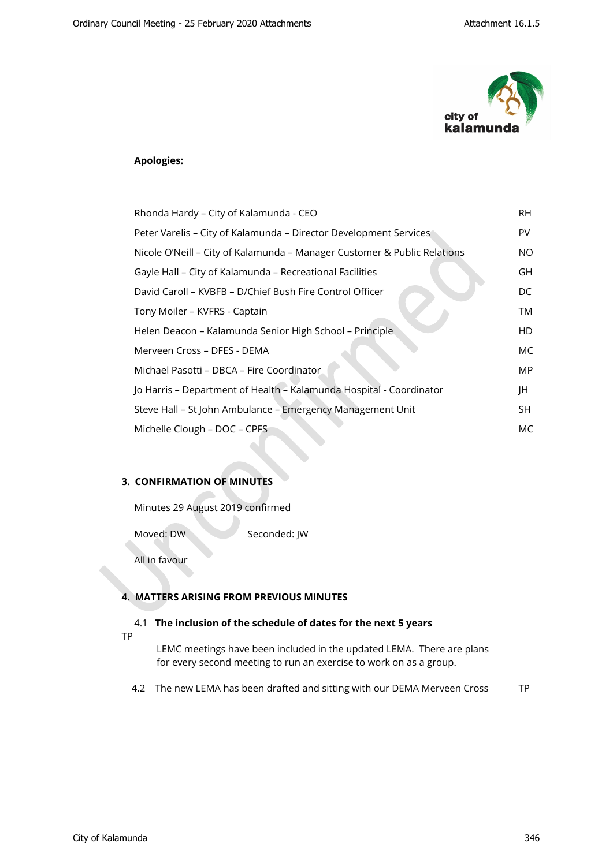

# **Apologies:**

| Rhonda Hardy - City of Kalamunda - CEO                                   | RH. |
|--------------------------------------------------------------------------|-----|
| Peter Varelis - City of Kalamunda - Director Development Services        | PV  |
| Nicole O'Neill - City of Kalamunda - Manager Customer & Public Relations | NO. |
| Gayle Hall - City of Kalamunda - Recreational Facilities                 | GH  |
| David Caroll – KVBFB – D/Chief Bush Fire Control Officer                 | DC  |
| Tony Moiler - KVFRS - Captain                                            | TM  |
| Helen Deacon - Kalamunda Senior High School - Principle                  | HD  |
| Merveen Cross – DFES - DEMA                                              | МC  |
| Michael Pasotti – DBCA – Fire Coordinator                                | MP  |
| Jo Harris - Department of Health - Kalamunda Hospital - Coordinator      | JH  |
| Steve Hall - St John Ambulance - Emergency Management Unit               | SH. |
| Michelle Clough - DOC - CPFS                                             | МC  |

# **3. CONFIRMATION OF MINUTES**

Minutes 29 August 2019 confirmed

Moved: DW Seconded: JW

All in favour

### **4. MATTERS ARISING FROM PREVIOUS MINUTES**

#### 4.1 **The inclusion of the schedule of dates for the next 5 years**

TP

LEMC meetings have been included in the updated LEMA. There are plans for every second meeting to run an exercise to work on as a group.

4.2 The new LEMA has been drafted and sitting with our DEMA Merveen Cross TP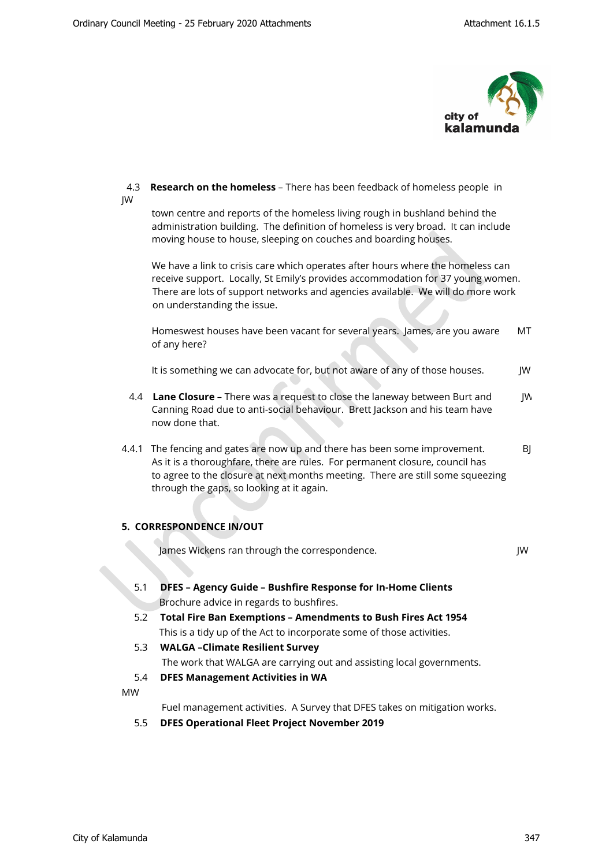

### 4.3 **Research on the homeless** – There has been feedback of homeless people in JW

 town centre and reports of the homeless living rough in bushland behind the administration building. The definition of homeless is very broad. It can include moving house to house, sleeping on couches and boarding houses.

 We have a link to crisis care which operates after hours where the homeless can receive support. Locally, St Emily's provides accommodation for 37 young women. There are lots of support networks and agencies available. We will do more work on understanding the issue.

 Homeswest houses have been vacant for several years. James, are you aware MT of any here?

It is something we can advocate for, but not aware of any of those houses. JW

- 4.4 **Lane Closure** There was a request to close the laneway between Burt and JW Canning Road due to anti-social behaviour. Brett Jackson and his team have now done that.
- 4.4.1 The fencing and gates are now up and there has been some improvement. BJ As it is a thoroughfare, there are rules. For permanent closure, council has to agree to the closure at next months meeting. There are still some squeezing through the gaps, so looking at it again.

# **5. CORRESPONDENCE IN/OUT**

**James Wickens ran through the correspondence.** JW

- 5.1 **DFES Agency Guide Bushfire Response for In-Home Clients** Brochure advice in regards to bushfires.
- 5.2 **Total Fire Ban Exemptions Amendments to Bush Fires Act 1954** This is a tidy up of the Act to incorporate some of those activities.
- 5.3 **WALGA –Climate Resilient Survey** The work that WALGA are carrying out and assisting local governments.
- 5.4 **DFES Management Activities in WA**

MW

Fuel management activities. A Survey that DFES takes on mitigation works.

5.5 **DFES Operational Fleet Project November 2019**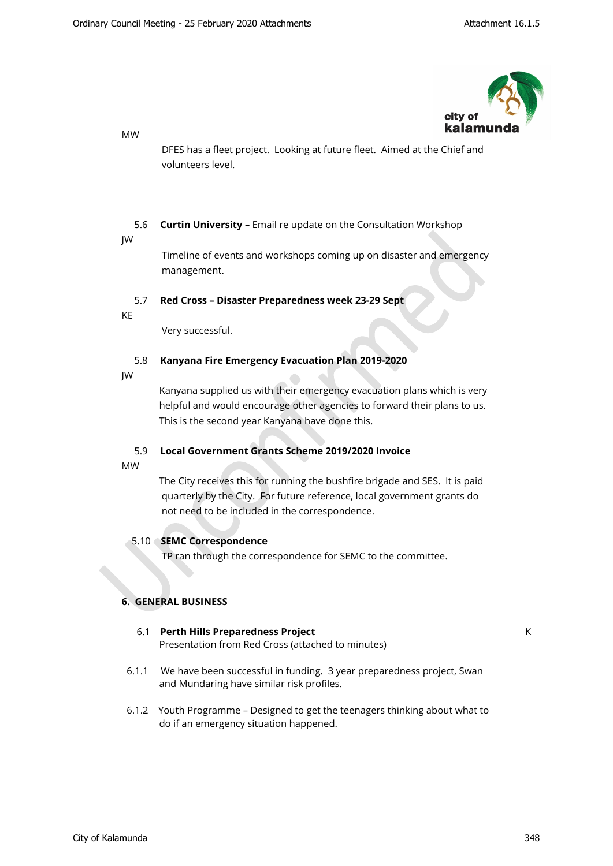

MW

 DFES has a fleet project. Looking at future fleet. Aimed at the Chief and volunteers level.

# 5.6 **Curtin University** – Email re update on the Consultation Workshop

JW

 Timeline of events and workshops coming up on disaster and emergency management.

# 5.7 **Red Cross – Disaster Preparedness week 23-29 Sept**

KE

Very successful.

# 5.8 **Kanyana Fire Emergency Evacuation Plan 2019-2020**

JW

 Kanyana supplied us with their emergency evacuation plans which is very helpful and would encourage other agencies to forward their plans to us. This is the second year Kanyana have done this.

# 5.9 **Local Government Grants Scheme 2019/2020 Invoice**

MW

 The City receives this for running the bushfire brigade and SES. It is paid quarterly by the City. For future reference, local government grants do not need to be included in the correspondence.

# 5.10 **SEMC Correspondence**

TP ran through the correspondence for SEMC to the committee.

# **6. GENERAL BUSINESS**

# 6.1 **Perth Hills Preparedness Project** KE Presentation from Red Cross (attached to minutes)

- 6.1.1 We have been successful in funding. 3 year preparedness project, Swan and Mundaring have similar risk profiles.
- 6.1.2 Youth Programme Designed to get the teenagers thinking about what to do if an emergency situation happened.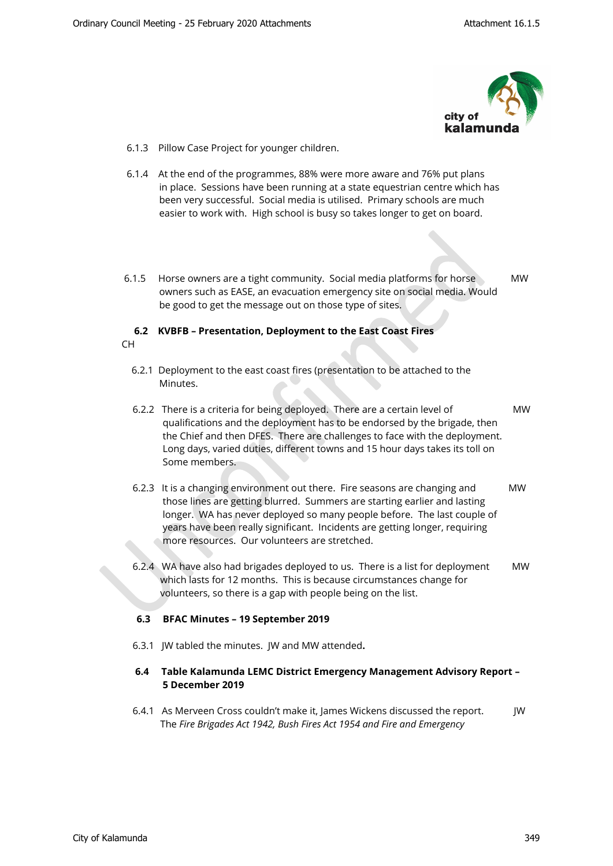

- 6.1.3 Pillow Case Project for younger children.
- 6.1.4 At the end of the programmes, 88% were more aware and 76% put plans in place. Sessions have been running at a state equestrian centre which has been very successful. Social media is utilised. Primary schools are much easier to work with. High school is busy so takes longer to get on board.
- 6.1.5 Horse owners are a tight community. Social media platforms for horse MW owners such as EASE, an evacuation emergency site on social media. Would be good to get the message out on those type of sites.

### **6.2 KVBFB – Presentation, Deployment to the East Coast Fires**  CH

- 6.2.1Deployment to the east coast fires (presentation to be attached to the Minutes.
- 6.2.2 There is a criteria for being deployed. There are a certain level of MW qualifications and the deployment has to be endorsed by the brigade, then the Chief and then DFES. There are challenges to face with the deployment. Long days, varied duties, different towns and 15 hour days takes its toll on Some members.
- 6.2.3 It is a changing environment out there. Fire seasons are changing and MW those lines are getting blurred. Summers are starting earlier and lasting longer. WA has never deployed so many people before. The last couple of years have been really significant. Incidents are getting longer, requiring more resources. Our volunteers are stretched.
- 6.2.4 WA have also had brigades deployed to us. There is a list for deployment MW which lasts for 12 months. This is because circumstances change for volunteers, so there is a gap with people being on the list.

# **6.3 BFAC Minutes – 19 September 2019**

6.3.1 JW tabled the minutes. JW and MW attended**.**

# **6.4 Table Kalamunda LEMC District Emergency Management Advisory Report – 5 December 2019**

6.4.1 As Merveen Cross couldn't make it, James Wickens discussed the report. JW The *Fire Brigades Act 1942, Bush Fires Act 1954 and Fire and Emergency*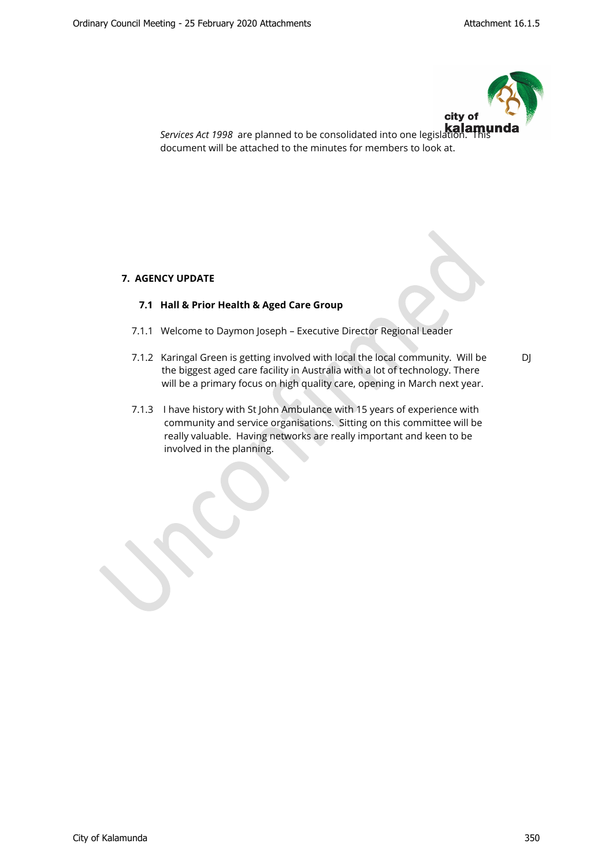

 *Services Act 1998* are planned to be consolidated into one legislation. This document will be attached to the minutes for members to look at.

# **7. AGENCY UPDATE**

# **7.1 Hall & Prior Health & Aged Care Group**

- 7.1.1 Welcome to Daymon Joseph Executive Director Regional Leader
- 7.1.2 Karingal Green is getting involved with local the local community. Will be DJ the biggest aged care facility in Australia with a lot of technology. There will be a primary focus on high quality care, opening in March next year.
- 7.1.3 I have history with St John Ambulance with 15 years of experience with community and service organisations. Sitting on this committee will be really valuable. Having networks are really important and keen to be involved in the planning.